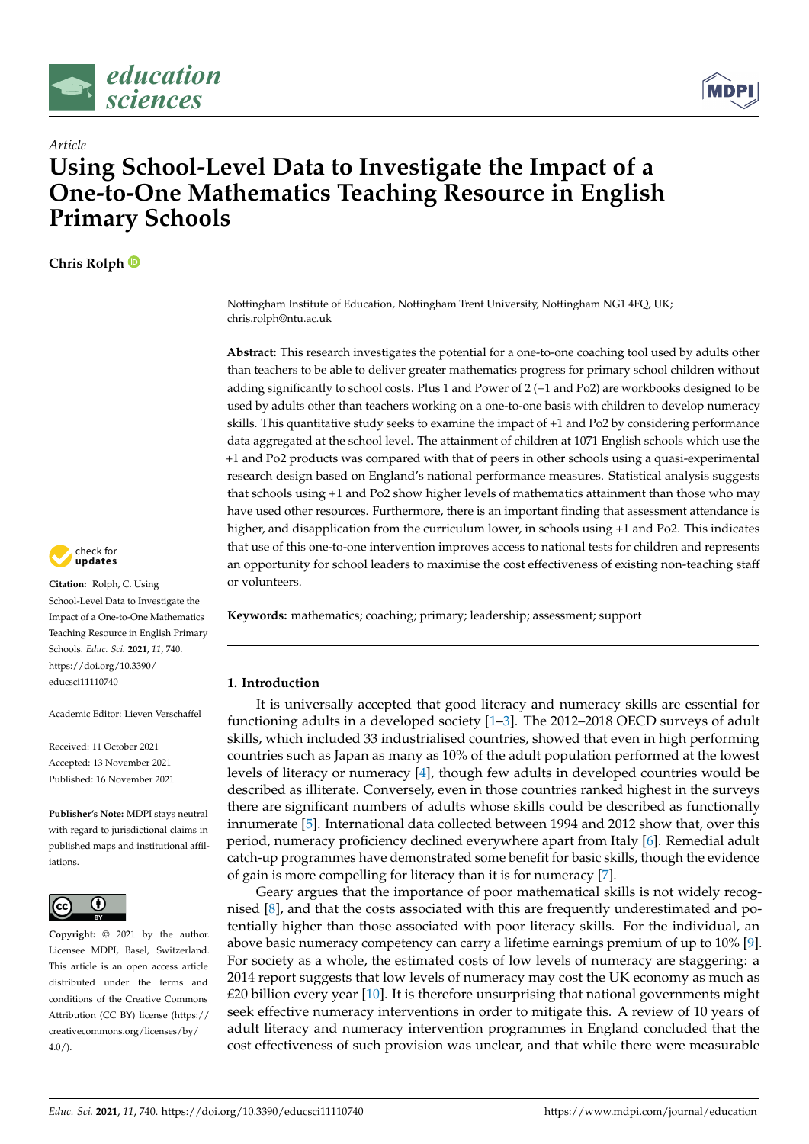



# *Article* **Using School-Level Data to Investigate the Impact of a One-to-One Mathematics Teaching Resource in English Primary Schools**

**Chris Rolph**



**Citation:** Rolph, C. Using School-Level Data to Investigate the Impact of a One-to-One Mathematics Teaching Resource in English Primary Schools. *Educ. Sci.* **2021**, *11*, 740. [https://doi.org/10.3390/](https://doi.org/10.3390/educsci11110740) [educsci11110740](https://doi.org/10.3390/educsci11110740)

Academic Editor: Lieven Verschaffel

Received: 11 October 2021 Accepted: 13 November 2021 Published: 16 November 2021

**Publisher's Note:** MDPI stays neutral with regard to jurisdictional claims in published maps and institutional affiliations.



**Copyright:** © 2021 by the author. Licensee MDPI, Basel, Switzerland. This article is an open access article distributed under the terms and conditions of the Creative Commons Attribution (CC BY) license (https:/[/](https://creativecommons.org/licenses/by/4.0/) [creativecommons.org/licenses/by/](https://creativecommons.org/licenses/by/4.0/)  $4.0/$ ).

Nottingham Institute of Education, Nottingham Trent University, Nottingham NG1 4FQ, UK; chris.rolph@ntu.ac.uk

**Abstract:** This research investigates the potential for a one-to-one coaching tool used by adults other than teachers to be able to deliver greater mathematics progress for primary school children without adding significantly to school costs. Plus 1 and Power of 2 (+1 and Po2) are workbooks designed to be used by adults other than teachers working on a one-to-one basis with children to develop numeracy skills. This quantitative study seeks to examine the impact of +1 and Po2 by considering performance data aggregated at the school level. The attainment of children at 1071 English schools which use the +1 and Po2 products was compared with that of peers in other schools using a quasi-experimental research design based on England's national performance measures. Statistical analysis suggests that schools using +1 and Po2 show higher levels of mathematics attainment than those who may have used other resources. Furthermore, there is an important finding that assessment attendance is higher, and disapplication from the curriculum lower, in schools using  $+1$  and Po2. This indicates that use of this one-to-one intervention improves access to national tests for children and represents an opportunity for school leaders to maximise the cost effectiveness of existing non-teaching staff or volunteers.

**Keywords:** mathematics; coaching; primary; leadership; assessment; support

## **1. Introduction**

It is universally accepted that good literacy and numeracy skills are essential for functioning adults in a developed society [\[1](#page-8-0)[–3\]](#page-8-1). The 2012–2018 OECD surveys of adult skills, which included 33 industrialised countries, showed that even in high performing countries such as Japan as many as 10% of the adult population performed at the lowest levels of literacy or numeracy [\[4\]](#page-8-2), though few adults in developed countries would be described as illiterate. Conversely, even in those countries ranked highest in the surveys there are significant numbers of adults whose skills could be described as functionally innumerate [\[5\]](#page-8-3). International data collected between 1994 and 2012 show that, over this period, numeracy proficiency declined everywhere apart from Italy [\[6\]](#page-8-4). Remedial adult catch-up programmes have demonstrated some benefit for basic skills, though the evidence of gain is more compelling for literacy than it is for numeracy [\[7\]](#page-8-5).

Geary argues that the importance of poor mathematical skills is not widely recognised [\[8\]](#page-8-6), and that the costs associated with this are frequently underestimated and potentially higher than those associated with poor literacy skills. For the individual, an above basic numeracy competency can carry a lifetime earnings premium of up to 10% [\[9\]](#page-8-7). For society as a whole, the estimated costs of low levels of numeracy are staggering: a 2014 report suggests that low levels of numeracy may cost the UK economy as much as  $£20$  billion every year  $[10]$ . It is therefore unsurprising that national governments might seek effective numeracy interventions in order to mitigate this. A review of 10 years of adult literacy and numeracy intervention programmes in England concluded that the cost effectiveness of such provision was unclear, and that while there were measurable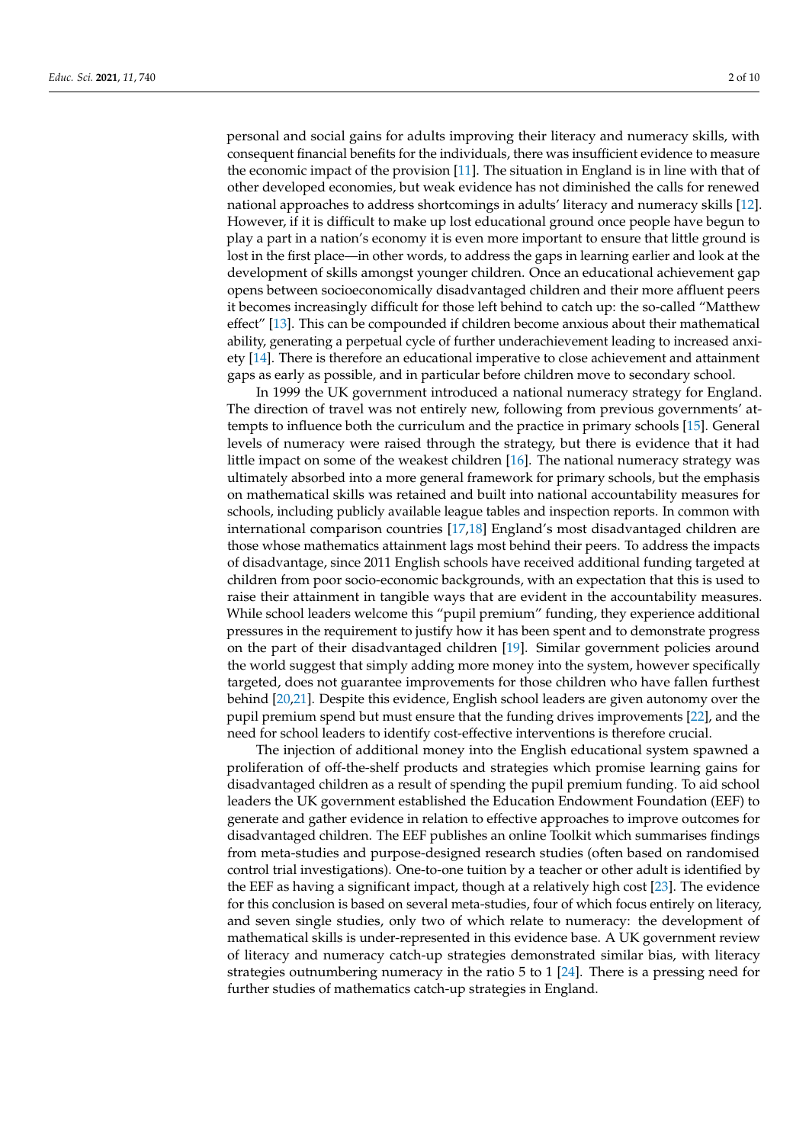personal and social gains for adults improving their literacy and numeracy skills, with consequent financial benefits for the individuals, there was insufficient evidence to measure the economic impact of the provision [\[11\]](#page-8-9). The situation in England is in line with that of other developed economies, but weak evidence has not diminished the calls for renewed national approaches to address shortcomings in adults' literacy and numeracy skills [\[12\]](#page-8-10). However, if it is difficult to make up lost educational ground once people have begun to play a part in a nation's economy it is even more important to ensure that little ground is lost in the first place—in other words, to address the gaps in learning earlier and look at the development of skills amongst younger children. Once an educational achievement gap opens between socioeconomically disadvantaged children and their more affluent peers it becomes increasingly difficult for those left behind to catch up: the so-called "Matthew effect" [\[13\]](#page-8-11). This can be compounded if children become anxious about their mathematical ability, generating a perpetual cycle of further underachievement leading to increased anxiety [\[14\]](#page-8-12). There is therefore an educational imperative to close achievement and attainment gaps as early as possible, and in particular before children move to secondary school.

In 1999 the UK government introduced a national numeracy strategy for England. The direction of travel was not entirely new, following from previous governments' attempts to influence both the curriculum and the practice in primary schools [\[15\]](#page-8-13). General levels of numeracy were raised through the strategy, but there is evidence that it had little impact on some of the weakest children [\[16\]](#page-8-14). The national numeracy strategy was ultimately absorbed into a more general framework for primary schools, but the emphasis on mathematical skills was retained and built into national accountability measures for schools, including publicly available league tables and inspection reports. In common with international comparison countries [\[17,](#page-8-15)[18\]](#page-8-16) England's most disadvantaged children are those whose mathematics attainment lags most behind their peers. To address the impacts of disadvantage, since 2011 English schools have received additional funding targeted at children from poor socio-economic backgrounds, with an expectation that this is used to raise their attainment in tangible ways that are evident in the accountability measures. While school leaders welcome this "pupil premium" funding, they experience additional pressures in the requirement to justify how it has been spent and to demonstrate progress on the part of their disadvantaged children [\[19\]](#page-8-17). Similar government policies around the world suggest that simply adding more money into the system, however specifically targeted, does not guarantee improvements for those children who have fallen furthest behind [\[20,](#page-8-18)[21\]](#page-8-19). Despite this evidence, English school leaders are given autonomy over the pupil premium spend but must ensure that the funding drives improvements [\[22\]](#page-8-20), and the need for school leaders to identify cost-effective interventions is therefore crucial.

The injection of additional money into the English educational system spawned a proliferation of off-the-shelf products and strategies which promise learning gains for disadvantaged children as a result of spending the pupil premium funding. To aid school leaders the UK government established the Education Endowment Foundation (EEF) to generate and gather evidence in relation to effective approaches to improve outcomes for disadvantaged children. The EEF publishes an online Toolkit which summarises findings from meta-studies and purpose-designed research studies (often based on randomised control trial investigations). One-to-one tuition by a teacher or other adult is identified by the EEF as having a significant impact, though at a relatively high cost [\[23\]](#page-8-21). The evidence for this conclusion is based on several meta-studies, four of which focus entirely on literacy, and seven single studies, only two of which relate to numeracy: the development of mathematical skills is under-represented in this evidence base. A UK government review of literacy and numeracy catch-up strategies demonstrated similar bias, with literacy strategies outnumbering numeracy in the ratio 5 to 1 [\[24\]](#page-8-22). There is a pressing need for further studies of mathematics catch-up strategies in England.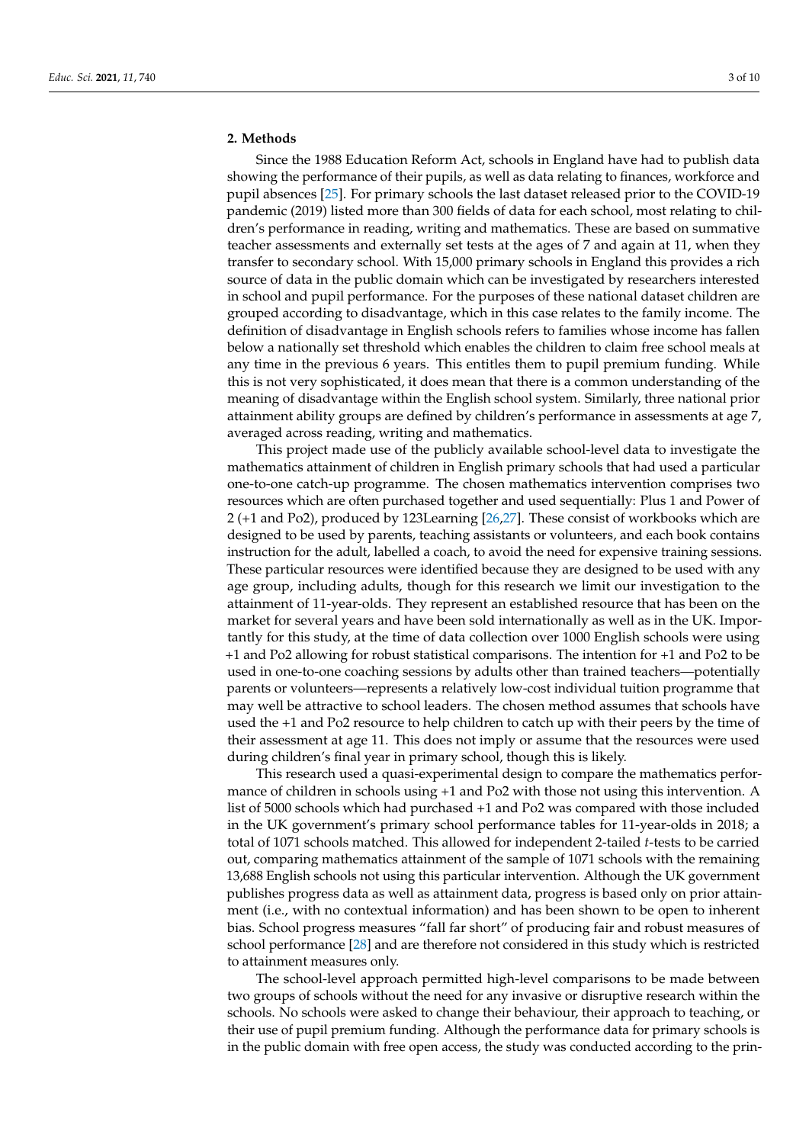### **2. Methods**

Since the 1988 Education Reform Act, schools in England have had to publish data showing the performance of their pupils, as well as data relating to finances, workforce and pupil absences [\[25\]](#page-8-23). For primary schools the last dataset released prior to the COVID-19 pandemic (2019) listed more than 300 fields of data for each school, most relating to children's performance in reading, writing and mathematics. These are based on summative teacher assessments and externally set tests at the ages of 7 and again at 11, when they transfer to secondary school. With 15,000 primary schools in England this provides a rich source of data in the public domain which can be investigated by researchers interested in school and pupil performance. For the purposes of these national dataset children are grouped according to disadvantage, which in this case relates to the family income. The definition of disadvantage in English schools refers to families whose income has fallen below a nationally set threshold which enables the children to claim free school meals at any time in the previous 6 years. This entitles them to pupil premium funding. While this is not very sophisticated, it does mean that there is a common understanding of the meaning of disadvantage within the English school system. Similarly, three national prior attainment ability groups are defined by children's performance in assessments at age 7, averaged across reading, writing and mathematics.

This project made use of the publicly available school-level data to investigate the mathematics attainment of children in English primary schools that had used a particular one-to-one catch-up programme. The chosen mathematics intervention comprises two resources which are often purchased together and used sequentially: Plus 1 and Power of 2 (+1 and Po2), produced by 123Learning [\[26](#page-8-24)[,27\]](#page-8-25). These consist of workbooks which are designed to be used by parents, teaching assistants or volunteers, and each book contains instruction for the adult, labelled a coach, to avoid the need for expensive training sessions. These particular resources were identified because they are designed to be used with any age group, including adults, though for this research we limit our investigation to the attainment of 11-year-olds. They represent an established resource that has been on the market for several years and have been sold internationally as well as in the UK. Importantly for this study, at the time of data collection over 1000 English schools were using +1 and Po2 allowing for robust statistical comparisons. The intention for +1 and Po2 to be used in one-to-one coaching sessions by adults other than trained teachers—potentially parents or volunteers—represents a relatively low-cost individual tuition programme that may well be attractive to school leaders. The chosen method assumes that schools have used the +1 and Po2 resource to help children to catch up with their peers by the time of their assessment at age 11. This does not imply or assume that the resources were used during children's final year in primary school, though this is likely.

This research used a quasi-experimental design to compare the mathematics performance of children in schools using +1 and Po2 with those not using this intervention. A list of 5000 schools which had purchased +1 and Po2 was compared with those included in the UK government's primary school performance tables for 11-year-olds in 2018; a total of 1071 schools matched. This allowed for independent 2-tailed *t*-tests to be carried out, comparing mathematics attainment of the sample of 1071 schools with the remaining 13,688 English schools not using this particular intervention. Although the UK government publishes progress data as well as attainment data, progress is based only on prior attainment (i.e., with no contextual information) and has been shown to be open to inherent bias. School progress measures "fall far short" of producing fair and robust measures of school performance [\[28\]](#page-8-26) and are therefore not considered in this study which is restricted to attainment measures only.

The school-level approach permitted high-level comparisons to be made between two groups of schools without the need for any invasive or disruptive research within the schools. No schools were asked to change their behaviour, their approach to teaching, or their use of pupil premium funding. Although the performance data for primary schools is in the public domain with free open access, the study was conducted according to the prin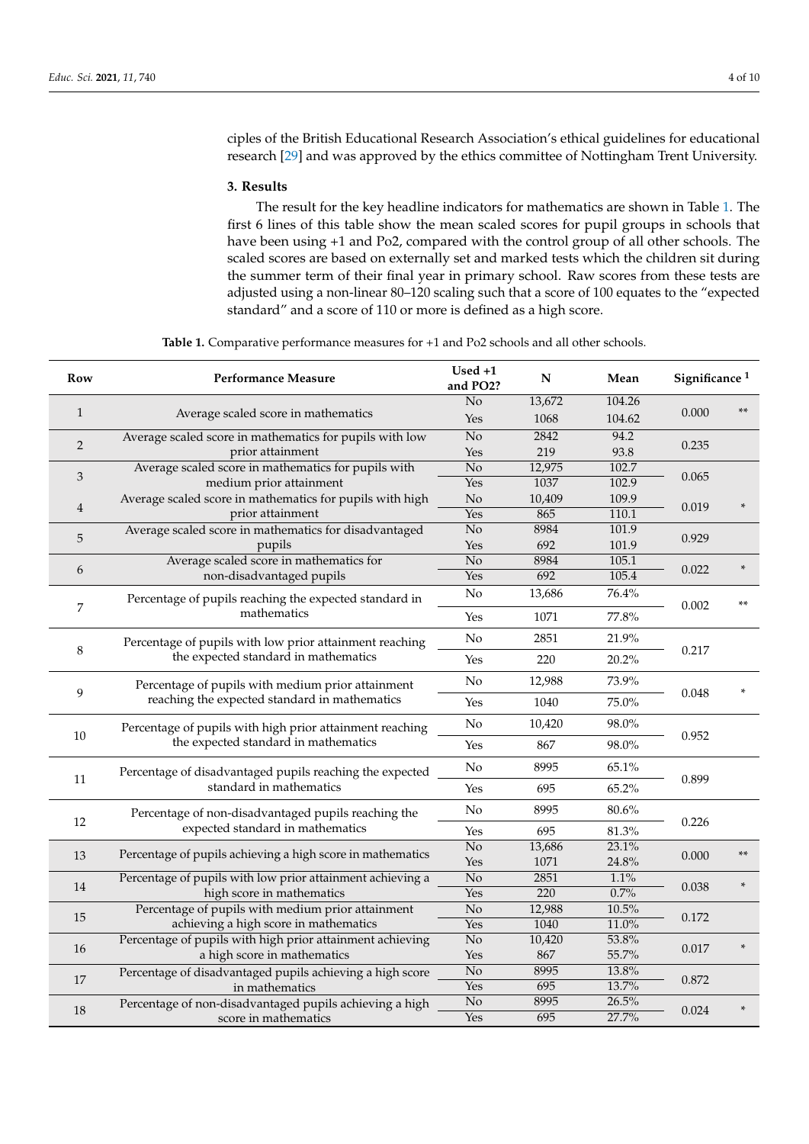ciples of the British Educational Research Association's ethical guidelines for educational research [\[29\]](#page-8-27) and was approved by the ethics committee of Nottingham Trent University.

#### **3. Results**

The result for the key headline indicators for mathematics are shown in Table [1.](#page-3-0) The first 6 lines of this table show the mean scaled scores for pupil groups in schools that have been using +1 and Po2, compared with the control group of all other schools. The scaled scores are based on externally set and marked tests which the children sit during the summer term of their final year in primary school. Raw scores from these tests are adjusted using a non-linear 80–120 scaling such that a score of 100 equates to the "expected standard" and a score of 110 or more is defined as a high score.

**Table 1.** Comparative performance measures for +1 and Po2 schools and all other schools.

<span id="page-3-0"></span>

| Row            | <b>Performance Measure</b>                                                                         | $Used +1$<br>and PO2?  | N           | Mean           | Significance <sup>1</sup> |        |
|----------------|----------------------------------------------------------------------------------------------------|------------------------|-------------|----------------|---------------------------|--------|
| 1              | Average scaled score in mathematics                                                                | No                     | 13,672      | 104.26         | 0.000                     |        |
|                |                                                                                                    | Yes                    | 1068        | 104.62         |                           |        |
| 2              | Average scaled score in mathematics for pupils with low                                            | $\overline{No}$        | 2842        | 94.2           | 0.235                     |        |
|                | prior attainment                                                                                   | Yes                    | 219         | 93.8           |                           |        |
| $\mathfrak{Z}$ | Average scaled score in mathematics for pupils with                                                | $\overline{No}$        | 12,975      | 102.7          | 0.065                     |        |
|                | medium prior attainment                                                                            | Yes                    | 1037        | 102.9          |                           |        |
| $\overline{4}$ | Average scaled score in mathematics for pupils with high<br>prior attainment                       | No                     | 10,409      | 109.9          | 0.019                     |        |
|                |                                                                                                    | Yes                    | 865         | 110.1          |                           |        |
| 5              | Average scaled score in mathematics for disadvantaged                                              | $\overline{No}$        | 8984<br>692 | 101.9<br>101.9 | 0.929                     |        |
|                | pupils                                                                                             | Yes<br>$\overline{No}$ | 8984        | 105.1          |                           |        |
| 6              | Average scaled score in mathematics for<br>non-disadvantaged pupils                                | Yes                    | 692         | 105.4          | 0.022                     |        |
|                |                                                                                                    |                        |             |                |                           |        |
| 7              | Percentage of pupils reaching the expected standard in<br>mathematics                              | No                     | 13,686      | 76.4%          | 0.002                     | **     |
|                |                                                                                                    | Yes                    | 1071        | 77.8%          |                           |        |
| 8              | Percentage of pupils with low prior attainment reaching<br>the expected standard in mathematics    | No                     | 2851        | 21.9%          | 0.217                     |        |
|                |                                                                                                    | Yes                    | 220         | 20.2%          |                           |        |
| 9              | Percentage of pupils with medium prior attainment<br>reaching the expected standard in mathematics | No                     | 12,988      | 73.9%          | 0.048                     |        |
|                |                                                                                                    | Yes                    | 1040        | 75.0%          |                           |        |
| $10\,$         | Percentage of pupils with high prior attainment reaching<br>the expected standard in mathematics   | No                     | 10,420      | 98.0%          | 0.952                     |        |
|                |                                                                                                    | Yes                    | 867         | 98.0%          |                           |        |
| 11             | Percentage of disadvantaged pupils reaching the expected<br>standard in mathematics                | No                     | 8995        | 65.1%          | 0.899                     |        |
|                |                                                                                                    | Yes                    | 695         | 65.2%          |                           |        |
|                | Percentage of non-disadvantaged pupils reaching the<br>expected standard in mathematics            | No                     | 8995        | $80.6\%$       |                           |        |
| 12             |                                                                                                    | Yes                    | 695         | 81.3%          | 0.226                     |        |
|                | Percentage of pupils achieving a high score in mathematics                                         | $\overline{No}$        | 13,686      | 23.1%          |                           | $**$   |
| 13             |                                                                                                    | Yes                    | 1071        | 24.8%          | 0.000                     |        |
|                | Percentage of pupils with low prior attainment achieving a                                         | No                     | 2851        | 1.1%           | 0.038                     |        |
| 14             | high score in mathematics                                                                          | Yes                    | 220         | 0.7%           |                           |        |
| 15             | Percentage of pupils with medium prior attainment                                                  | No                     | 12,988      | 10.5%          | 0.172                     |        |
|                | achieving a high score in mathematics                                                              | Yes                    | 1040        | 11.0%          |                           |        |
| $16\,$         | Percentage of pupils with high prior attainment achieving                                          | $\overline{No}$        | 10,420      | 53.8%          | 0.017                     | $\ast$ |
|                | a high score in mathematics                                                                        | Yes                    | 867         | 55.7%          |                           |        |
| 17             | Percentage of disadvantaged pupils achieving a high score                                          | No                     | 8995        | 13.8%          | 0.872                     |        |
|                | in mathematics                                                                                     | Yes                    | 695         | 13.7%          |                           |        |
| 18             | Percentage of non-disadvantaged pupils achieving a high                                            | $\overline{No}$        | 8995        | 26.5%          | 0.024                     |        |
|                | score in mathematics                                                                               | Yes                    | 695         | 27.7%          |                           |        |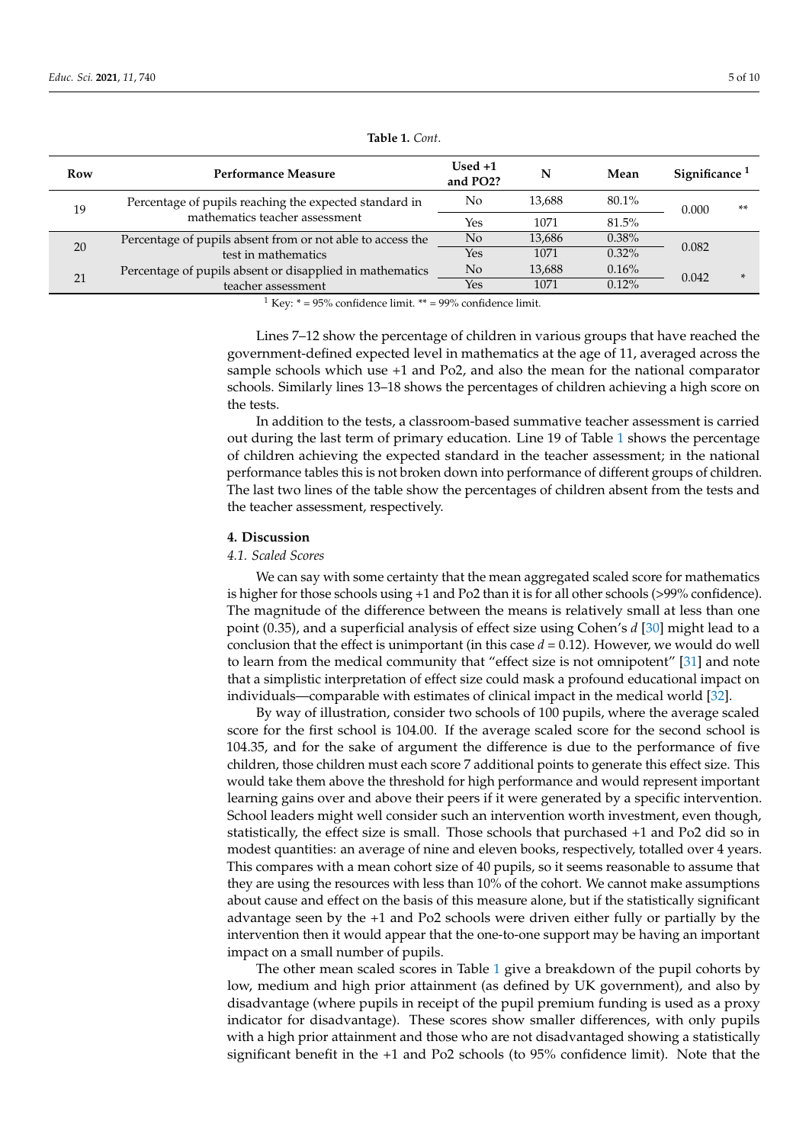| Row | Performance Measure                                                                      | $Used +1$<br>and PO2? | N      | Mean     | Significance <sup>1</sup> |        |
|-----|------------------------------------------------------------------------------------------|-----------------------|--------|----------|---------------------------|--------|
| 19  | Percentage of pupils reaching the expected standard in<br>mathematics teacher assessment | No                    | 13.688 | $80.1\%$ | 0.000                     | $***$  |
|     |                                                                                          | Yes                   | 1071   | 81.5%    |                           |        |
| 20  | Percentage of pupils absent from or not able to access the                               | N <sub>o</sub>        | 13,686 | $0.38\%$ | 0.082                     |        |
|     | test in mathematics                                                                      | Yes                   | 1071   | $0.32\%$ |                           |        |
| 21  | Percentage of pupils absent or disapplied in mathematics                                 | $\rm No$              | 13,688 | 0.16%    | 0.042                     | $\ast$ |
|     | teacher assessment                                                                       | Yes                   | 1071   | $0.12\%$ |                           |        |

**Table 1.** *Cont*.

<sup>1</sup> Key:  $* = 95\%$  confidence limit.  $** = 99\%$  confidence limit.

Lines 7–12 show the percentage of children in various groups that have reached the government-defined expected level in mathematics at the age of 11, averaged across the sample schools which use +1 and Po2, and also the mean for the national comparator schools. Similarly lines 13–18 shows the percentages of children achieving a high score on the tests.

In addition to the tests, a classroom-based summative teacher assessment is carried out during the last term of primary education. Line 19 of Table [1](#page-3-0) shows the percentage of children achieving the expected standard in the teacher assessment; in the national performance tables this is not broken down into performance of different groups of children. The last two lines of the table show the percentages of children absent from the tests and the teacher assessment, respectively.

#### **4. Discussion**

#### *4.1. Scaled Scores*

We can say with some certainty that the mean aggregated scaled score for mathematics is higher for those schools using +1 and Po2 than it is for all other schools (>99% confidence). The magnitude of the difference between the means is relatively small at less than one point (0.35), and a superficial analysis of effect size using Cohen's *d* [\[30\]](#page-9-0) might lead to a conclusion that the effect is unimportant (in this case  $d = 0.12$ ). However, we would do well to learn from the medical community that "effect size is not omnipotent" [\[31\]](#page-9-1) and note that a simplistic interpretation of effect size could mask a profound educational impact on individuals—comparable with estimates of clinical impact in the medical world [\[32\]](#page-9-2).

By way of illustration, consider two schools of 100 pupils, where the average scaled score for the first school is 104.00. If the average scaled score for the second school is 104.35, and for the sake of argument the difference is due to the performance of five children, those children must each score 7 additional points to generate this effect size. This would take them above the threshold for high performance and would represent important learning gains over and above their peers if it were generated by a specific intervention. School leaders might well consider such an intervention worth investment, even though, statistically, the effect size is small. Those schools that purchased +1 and Po2 did so in modest quantities: an average of nine and eleven books, respectively, totalled over 4 years. This compares with a mean cohort size of 40 pupils, so it seems reasonable to assume that they are using the resources with less than 10% of the cohort. We cannot make assumptions about cause and effect on the basis of this measure alone, but if the statistically significant advantage seen by the +1 and Po2 schools were driven either fully or partially by the intervention then it would appear that the one-to-one support may be having an important impact on a small number of pupils.

The other mean scaled scores in Table [1](#page-3-0) give a breakdown of the pupil cohorts by low, medium and high prior attainment (as defined by UK government), and also by disadvantage (where pupils in receipt of the pupil premium funding is used as a proxy indicator for disadvantage). These scores show smaller differences, with only pupils with a high prior attainment and those who are not disadvantaged showing a statistically significant benefit in the +1 and Po2 schools (to 95% confidence limit). Note that the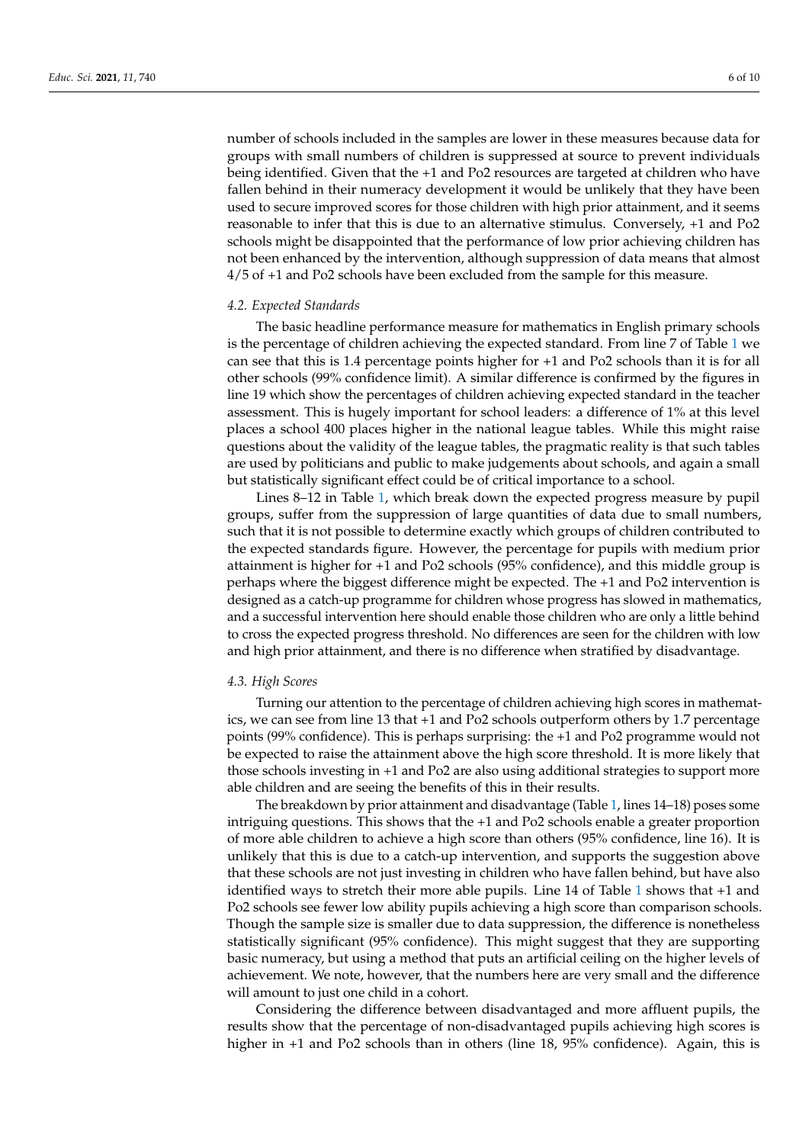number of schools included in the samples are lower in these measures because data for groups with small numbers of children is suppressed at source to prevent individuals being identified. Given that the +1 and Po2 resources are targeted at children who have fallen behind in their numeracy development it would be unlikely that they have been used to secure improved scores for those children with high prior attainment, and it seems reasonable to infer that this is due to an alternative stimulus. Conversely, +1 and Po2 schools might be disappointed that the performance of low prior achieving children has not been enhanced by the intervention, although suppression of data means that almost 4/5 of +1 and Po2 schools have been excluded from the sample for this measure.

#### *4.2. Expected Standards*

The basic headline performance measure for mathematics in English primary schools is the percentage of children achieving the expected standard. From line 7 of Table [1](#page-3-0) we can see that this is 1.4 percentage points higher for +1 and Po2 schools than it is for all other schools (99% confidence limit). A similar difference is confirmed by the figures in line 19 which show the percentages of children achieving expected standard in the teacher assessment. This is hugely important for school leaders: a difference of 1% at this level places a school 400 places higher in the national league tables. While this might raise questions about the validity of the league tables, the pragmatic reality is that such tables are used by politicians and public to make judgements about schools, and again a small but statistically significant effect could be of critical importance to a school.

Lines 8–12 in Table [1,](#page-3-0) which break down the expected progress measure by pupil groups, suffer from the suppression of large quantities of data due to small numbers, such that it is not possible to determine exactly which groups of children contributed to the expected standards figure. However, the percentage for pupils with medium prior attainment is higher for +1 and Po2 schools (95% confidence), and this middle group is perhaps where the biggest difference might be expected. The +1 and Po2 intervention is designed as a catch-up programme for children whose progress has slowed in mathematics, and a successful intervention here should enable those children who are only a little behind to cross the expected progress threshold. No differences are seen for the children with low and high prior attainment, and there is no difference when stratified by disadvantage.

#### *4.3. High Scores*

Turning our attention to the percentage of children achieving high scores in mathematics, we can see from line 13 that +1 and Po2 schools outperform others by 1.7 percentage points (99% confidence). This is perhaps surprising: the +1 and Po2 programme would not be expected to raise the attainment above the high score threshold. It is more likely that those schools investing in +1 and Po2 are also using additional strategies to support more able children and are seeing the benefits of this in their results.

The breakdown by prior attainment and disadvantage (Table [1,](#page-3-0) lines 14–18) poses some intriguing questions. This shows that the +1 and Po2 schools enable a greater proportion of more able children to achieve a high score than others (95% confidence, line 16). It is unlikely that this is due to a catch-up intervention, and supports the suggestion above that these schools are not just investing in children who have fallen behind, but have also identified ways to stretch their more able pupils. Line 14 of Table [1](#page-3-0) shows that +1 and Po2 schools see fewer low ability pupils achieving a high score than comparison schools. Though the sample size is smaller due to data suppression, the difference is nonetheless statistically significant (95% confidence). This might suggest that they are supporting basic numeracy, but using a method that puts an artificial ceiling on the higher levels of achievement. We note, however, that the numbers here are very small and the difference will amount to just one child in a cohort.

Considering the difference between disadvantaged and more affluent pupils, the results show that the percentage of non-disadvantaged pupils achieving high scores is higher in +1 and Po2 schools than in others (line 18, 95% confidence). Again, this is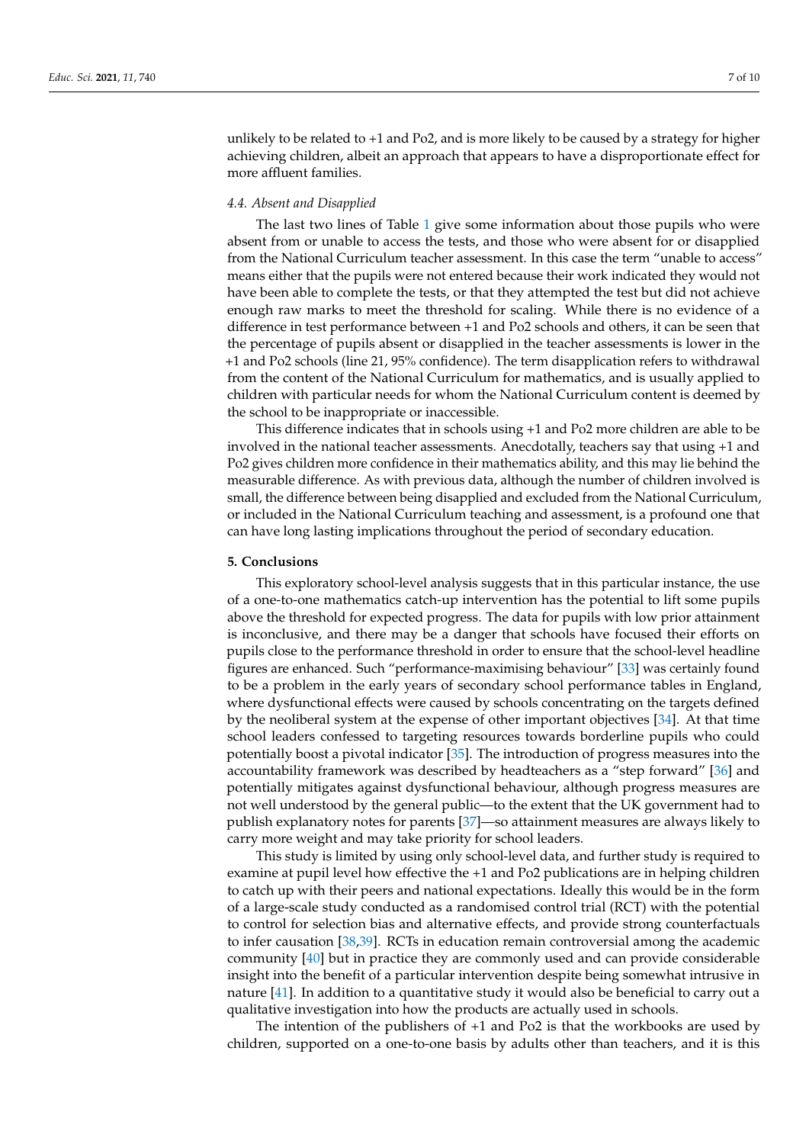unlikely to be related to +1 and Po2, and is more likely to be caused by a strategy for higher achieving children, albeit an approach that appears to have a disproportionate effect for more affluent families.

#### *4.4. Absent and Disapplied*

The last two lines of Table [1](#page-3-0) give some information about those pupils who were absent from or unable to access the tests, and those who were absent for or disapplied from the National Curriculum teacher assessment. In this case the term "unable to access" means either that the pupils were not entered because their work indicated they would not have been able to complete the tests, or that they attempted the test but did not achieve enough raw marks to meet the threshold for scaling. While there is no evidence of a difference in test performance between +1 and Po2 schools and others, it can be seen that the percentage of pupils absent or disapplied in the teacher assessments is lower in the +1 and Po2 schools (line 21, 95% confidence). The term disapplication refers to withdrawal from the content of the National Curriculum for mathematics, and is usually applied to children with particular needs for whom the National Curriculum content is deemed by the school to be inappropriate or inaccessible.

This difference indicates that in schools using +1 and Po2 more children are able to be involved in the national teacher assessments. Anecdotally, teachers say that using +1 and Po2 gives children more confidence in their mathematics ability, and this may lie behind the measurable difference. As with previous data, although the number of children involved is small, the difference between being disapplied and excluded from the National Curriculum, or included in the National Curriculum teaching and assessment, is a profound one that can have long lasting implications throughout the period of secondary education.

#### **5. Conclusions**

This exploratory school-level analysis suggests that in this particular instance, the use of a one-to-one mathematics catch-up intervention has the potential to lift some pupils above the threshold for expected progress. The data for pupils with low prior attainment is inconclusive, and there may be a danger that schools have focused their efforts on pupils close to the performance threshold in order to ensure that the school-level headline figures are enhanced. Such "performance-maximising behaviour" [\[33\]](#page-9-3) was certainly found to be a problem in the early years of secondary school performance tables in England, where dysfunctional effects were caused by schools concentrating on the targets defined by the neoliberal system at the expense of other important objectives [\[34\]](#page-9-4). At that time school leaders confessed to targeting resources towards borderline pupils who could potentially boost a pivotal indicator [\[35\]](#page-9-5). The introduction of progress measures into the accountability framework was described by headteachers as a "step forward" [\[36\]](#page-9-6) and potentially mitigates against dysfunctional behaviour, although progress measures are not well understood by the general public—to the extent that the UK government had to publish explanatory notes for parents [\[37\]](#page-9-7)—so attainment measures are always likely to carry more weight and may take priority for school leaders.

This study is limited by using only school-level data, and further study is required to examine at pupil level how effective the +1 and Po2 publications are in helping children to catch up with their peers and national expectations. Ideally this would be in the form of a large-scale study conducted as a randomised control trial (RCT) with the potential to control for selection bias and alternative effects, and provide strong counterfactuals to infer causation [\[38,](#page-9-8)[39\]](#page-9-9). RCTs in education remain controversial among the academic community [\[40\]](#page-9-10) but in practice they are commonly used and can provide considerable insight into the benefit of a particular intervention despite being somewhat intrusive in nature [\[41\]](#page-9-11). In addition to a quantitative study it would also be beneficial to carry out a qualitative investigation into how the products are actually used in schools.

The intention of the publishers of +1 and Po2 is that the workbooks are used by children, supported on a one-to-one basis by adults other than teachers, and it is this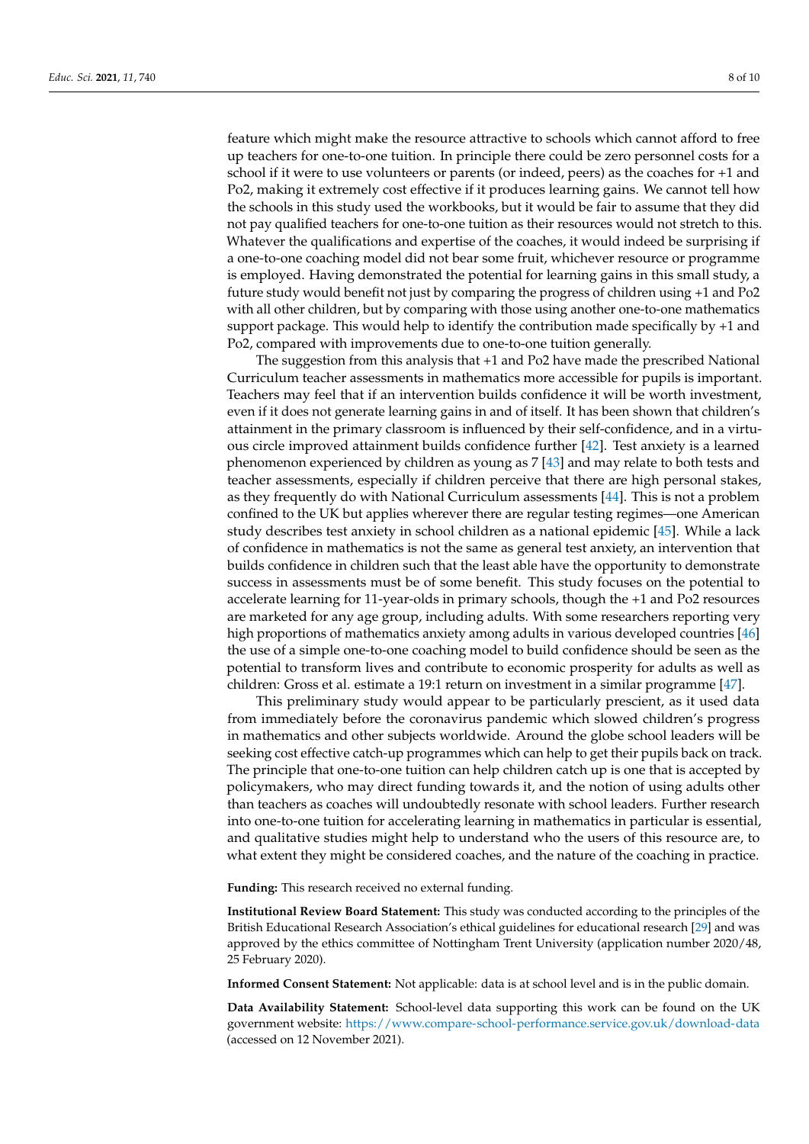feature which might make the resource attractive to schools which cannot afford to free up teachers for one-to-one tuition. In principle there could be zero personnel costs for a school if it were to use volunteers or parents (or indeed, peers) as the coaches for +1 and Po2, making it extremely cost effective if it produces learning gains. We cannot tell how the schools in this study used the workbooks, but it would be fair to assume that they did not pay qualified teachers for one-to-one tuition as their resources would not stretch to this. Whatever the qualifications and expertise of the coaches, it would indeed be surprising if a one-to-one coaching model did not bear some fruit, whichever resource or programme is employed. Having demonstrated the potential for learning gains in this small study, a future study would benefit not just by comparing the progress of children using +1 and Po2 with all other children, but by comparing with those using another one-to-one mathematics support package. This would help to identify the contribution made specifically by +1 and Po2, compared with improvements due to one-to-one tuition generally.

The suggestion from this analysis that +1 and Po2 have made the prescribed National Curriculum teacher assessments in mathematics more accessible for pupils is important. Teachers may feel that if an intervention builds confidence it will be worth investment, even if it does not generate learning gains in and of itself. It has been shown that children's attainment in the primary classroom is influenced by their self-confidence, and in a virtuous circle improved attainment builds confidence further [\[42\]](#page-9-12). Test anxiety is a learned phenomenon experienced by children as young as 7 [\[43\]](#page-9-13) and may relate to both tests and teacher assessments, especially if children perceive that there are high personal stakes, as they frequently do with National Curriculum assessments [\[44\]](#page-9-14). This is not a problem confined to the UK but applies wherever there are regular testing regimes—one American study describes test anxiety in school children as a national epidemic [\[45\]](#page-9-15). While a lack of confidence in mathematics is not the same as general test anxiety, an intervention that builds confidence in children such that the least able have the opportunity to demonstrate success in assessments must be of some benefit. This study focuses on the potential to accelerate learning for 11-year-olds in primary schools, though the +1 and Po2 resources are marketed for any age group, including adults. With some researchers reporting very high proportions of mathematics anxiety among adults in various developed countries [\[46\]](#page-9-16) the use of a simple one-to-one coaching model to build confidence should be seen as the potential to transform lives and contribute to economic prosperity for adults as well as children: Gross et al. estimate a 19:1 return on investment in a similar programme [\[47\]](#page-9-17).

This preliminary study would appear to be particularly prescient, as it used data from immediately before the coronavirus pandemic which slowed children's progress in mathematics and other subjects worldwide. Around the globe school leaders will be seeking cost effective catch-up programmes which can help to get their pupils back on track. The principle that one-to-one tuition can help children catch up is one that is accepted by policymakers, who may direct funding towards it, and the notion of using adults other than teachers as coaches will undoubtedly resonate with school leaders. Further research into one-to-one tuition for accelerating learning in mathematics in particular is essential, and qualitative studies might help to understand who the users of this resource are, to what extent they might be considered coaches, and the nature of the coaching in practice.

**Funding:** This research received no external funding.

**Institutional Review Board Statement:** This study was conducted according to the principles of the British Educational Research Association's ethical guidelines for educational research [\[29\]](#page-8-27) and was approved by the ethics committee of Nottingham Trent University (application number 2020/48, 25 February 2020).

**Informed Consent Statement:** Not applicable: data is at school level and is in the public domain.

**Data Availability Statement:** School-level data supporting this work can be found on the UK government website: <https://www.compare-school-performance.service.gov.uk/download-data> (accessed on 12 November 2021).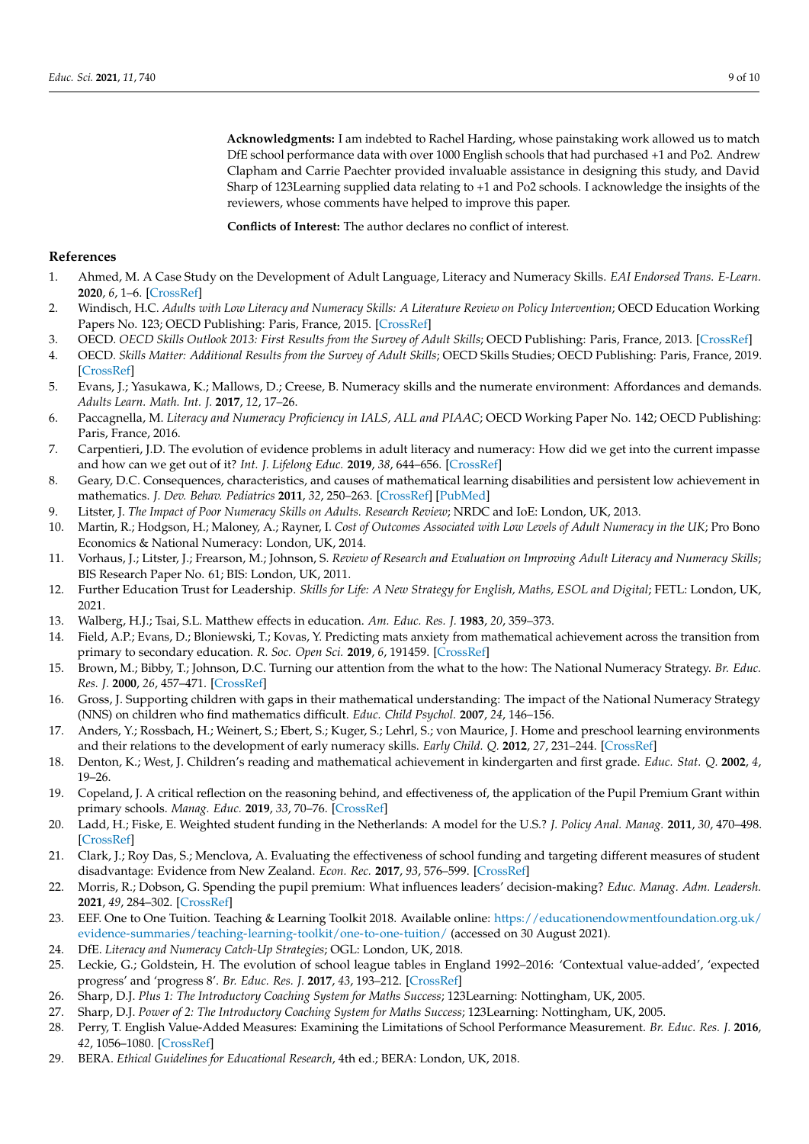**Acknowledgments:** I am indebted to Rachel Harding, whose painstaking work allowed us to match DfE school performance data with over 1000 English schools that had purchased +1 and Po2. Andrew Clapham and Carrie Paechter provided invaluable assistance in designing this study, and David Sharp of 123Learning supplied data relating to +1 and Po2 schools. I acknowledge the insights of the reviewers, whose comments have helped to improve this paper.

**Conflicts of Interest:** The author declares no conflict of interest.

#### **References**

- <span id="page-8-0"></span>1. Ahmed, M. A Case Study on the Development of Adult Language, Literacy and Numeracy Skills. *EAI Endorsed Trans. E-Learn.* **2020**, *6*, 1–6. [\[CrossRef\]](http://doi.org/10.4108/eai.30-10-2018.159602)
- 2. Windisch, H.C. *Adults with Low Literacy and Numeracy Skills: A Literature Review on Policy Intervention*; OECD Education Working Papers No. 123; OECD Publishing: Paris, France, 2015. [\[CrossRef\]](http://doi.org/10.1787/5jrxnjdd3r5k-en)
- <span id="page-8-1"></span>3. OECD. OECD Skills Outlook 2013: First Results from the Survey of Adult Skills; OECD Publishing: Paris, France, 2013. [\[CrossRef\]](http://doi.org/10.1787/9789264204256-en)
- <span id="page-8-2"></span>4. OECD. *Skills Matter: Additional Results from the Survey of Adult Skills*; OECD Skills Studies; OECD Publishing: Paris, France, 2019. [\[CrossRef\]](http://doi.org/10.1787/1f029d8f-en)
- <span id="page-8-3"></span>5. Evans, J.; Yasukawa, K.; Mallows, D.; Creese, B. Numeracy skills and the numerate environment: Affordances and demands. *Adults Learn. Math. Int. J.* **2017**, *12*, 17–26.
- <span id="page-8-4"></span>6. Paccagnella, M. *Literacy and Numeracy Proficiency in IALS, ALL and PIAAC*; OECD Working Paper No. 142; OECD Publishing: Paris, France, 2016.
- <span id="page-8-5"></span>7. Carpentieri, J.D. The evolution of evidence problems in adult literacy and numeracy: How did we get into the current impasse and how can we get out of it? *Int. J. Lifelong Educ.* **2019**, *38*, 644–656. [\[CrossRef\]](http://doi.org/10.1080/02601370.2019.1692256)
- <span id="page-8-6"></span>8. Geary, D.C. Consequences, characteristics, and causes of mathematical learning disabilities and persistent low achievement in mathematics. *J. Dev. Behav. Pediatrics* **2011**, *32*, 250–263. [\[CrossRef\]](http://doi.org/10.1097/DBP.0b013e318209edef) [\[PubMed\]](http://www.ncbi.nlm.nih.gov/pubmed/21285895)
- <span id="page-8-7"></span>9. Litster, J. *The Impact of Poor Numeracy Skills on Adults. Research Review*; NRDC and IoE: London, UK, 2013.
- <span id="page-8-8"></span>10. Martin, R.; Hodgson, H.; Maloney, A.; Rayner, I. *Cost of Outcomes Associated with Low Levels of Adult Numeracy in the UK*; Pro Bono Economics & National Numeracy: London, UK, 2014.
- <span id="page-8-9"></span>11. Vorhaus, J.; Litster, J.; Frearson, M.; Johnson, S. *Review of Research and Evaluation on Improving Adult Literacy and Numeracy Skills*; BIS Research Paper No. 61; BIS: London, UK, 2011.
- <span id="page-8-10"></span>12. Further Education Trust for Leadership. *Skills for Life: A New Strategy for English, Maths, ESOL and Digital*; FETL: London, UK, 2021.
- <span id="page-8-11"></span>13. Walberg, H.J.; Tsai, S.L. Matthew effects in education. *Am. Educ. Res. J.* **1983**, *20*, 359–373.
- <span id="page-8-12"></span>14. Field, A.P.; Evans, D.; Bloniewski, T.; Kovas, Y. Predicting mats anxiety from mathematical achievement across the transition from primary to secondary education. *R. Soc. Open Sci.* **2019**, *6*, 191459. [\[CrossRef\]](http://doi.org/10.1098/rsos.191459)
- <span id="page-8-13"></span>15. Brown, M.; Bibby, T.; Johnson, D.C. Turning our attention from the what to the how: The National Numeracy Strategy. *Br. Educ. Res. J.* **2000**, *26*, 457–471. [\[CrossRef\]](http://doi.org/10.1080/713651570)
- <span id="page-8-14"></span>16. Gross, J. Supporting children with gaps in their mathematical understanding: The impact of the National Numeracy Strategy (NNS) on children who find mathematics difficult. *Educ. Child Psychol.* **2007**, *24*, 146–156.
- <span id="page-8-15"></span>17. Anders, Y.; Rossbach, H.; Weinert, S.; Ebert, S.; Kuger, S.; Lehrl, S.; von Maurice, J. Home and preschool learning environments and their relations to the development of early numeracy skills. *Early Child. Q.* **2012**, *27*, 231–244. [\[CrossRef\]](http://doi.org/10.1016/j.ecresq.2011.08.003)
- <span id="page-8-16"></span>18. Denton, K.; West, J. Children's reading and mathematical achievement in kindergarten and first grade. *Educ. Stat. Q.* **2002**, *4*, 19–26.
- <span id="page-8-17"></span>19. Copeland, J. A critical reflection on the reasoning behind, and effectiveness of, the application of the Pupil Premium Grant within primary schools. *Manag. Educ.* **2019**, *33*, 70–76. [\[CrossRef\]](http://doi.org/10.1177/0892020618781234)
- <span id="page-8-18"></span>20. Ladd, H.; Fiske, E. Weighted student funding in the Netherlands: A model for the U.S.? *J. Policy Anal. Manag.* **2011**, *30*, 470–498. [\[CrossRef\]](http://doi.org/10.1002/pam.20589)
- <span id="page-8-19"></span>21. Clark, J.; Roy Das, S.; Menclova, A. Evaluating the effectiveness of school funding and targeting different measures of student disadvantage: Evidence from New Zealand. *Econ. Rec.* **2017**, *93*, 576–599. [\[CrossRef\]](http://doi.org/10.1111/1475-4932.12354)
- <span id="page-8-20"></span>22. Morris, R.; Dobson, G. Spending the pupil premium: What influences leaders' decision-making? *Educ. Manag. Adm. Leadersh.* **2021**, *49*, 284–302. [\[CrossRef\]](http://doi.org/10.1177/1741143220905062)
- <span id="page-8-21"></span>23. EEF. One to One Tuition. Teaching & Learning Toolkit 2018. Available online: [https://educationendowmentfoundation.org.uk/](https://educationendowmentfoundation.org.uk/evidence-summaries/teaching-learning-toolkit/one-to-one-tuition/) [evidence-summaries/teaching-learning-toolkit/one-to-one-tuition/](https://educationendowmentfoundation.org.uk/evidence-summaries/teaching-learning-toolkit/one-to-one-tuition/) (accessed on 30 August 2021).
- <span id="page-8-22"></span>24. DfE. *Literacy and Numeracy Catch-Up Strategies*; OGL: London, UK, 2018.
- <span id="page-8-23"></span>25. Leckie, G.; Goldstein, H. The evolution of school league tables in England 1992–2016: 'Contextual value-added', 'expected progress' and 'progress 8'. *Br. Educ. Res. J.* **2017**, *43*, 193–212. [\[CrossRef\]](http://doi.org/10.1002/berj.3264)
- <span id="page-8-24"></span>26. Sharp, D.J. *Plus 1: The Introductory Coaching System for Maths Success*; 123Learning: Nottingham, UK, 2005.
- <span id="page-8-25"></span>27. Sharp, D.J. *Power of 2: The Introductory Coaching System for Maths Success*; 123Learning: Nottingham, UK, 2005.
- <span id="page-8-26"></span>28. Perry, T. English Value-Added Measures: Examining the Limitations of School Performance Measurement. *Br. Educ. Res. J.* **2016**, *42*, 1056–1080. [\[CrossRef\]](http://doi.org/10.1002/berj.3247)
- <span id="page-8-27"></span>29. BERA. *Ethical Guidelines for Educational Research*, 4th ed.; BERA: London, UK, 2018.